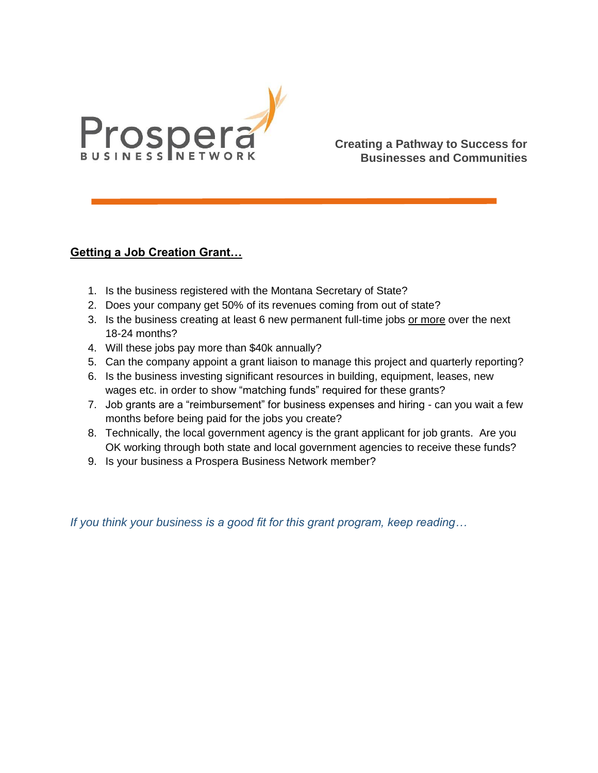

**Creating a Pathway to Success for Businesses and Communities**

## **Getting a Job Creation Grant…**

- 1. Is the business registered with the Montana Secretary of State?
- 2. Does your company get 50% of its revenues coming from out of state?
- 3. Is the business creating at least 6 new permanent full-time jobs or more over the next 18-24 months?
- 4. Will these jobs pay more than \$40k annually?
- 5. Can the company appoint a grant liaison to manage this project and quarterly reporting?
- 6. Is the business investing significant resources in building, equipment, leases, new wages etc. in order to show "matching funds" required for these grants?
- 7. Job grants are a "reimbursement" for business expenses and hiring can you wait a few months before being paid for the jobs you create?
- 8. Technically, the local government agency is the grant applicant for job grants. Are you OK working through both state and local government agencies to receive these funds?
- 9. Is your business a Prospera Business Network member?

*If you think your business is a good fit for this grant program, keep reading…*